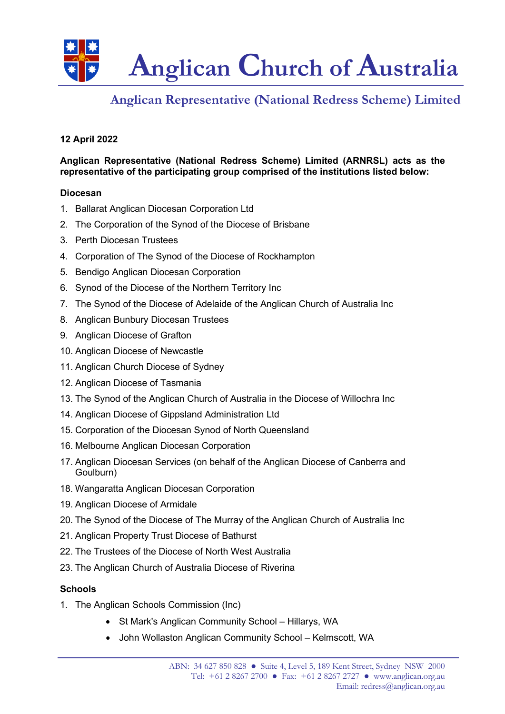

# **Anglican Representative (National Redress Scheme) Limited**

# **12 April 2022**

**Anglican Representative (National Redress Scheme) Limited (ARNRSL) acts as the representative of the participating group comprised of the institutions listed below:**

### **Diocesan**

- 1. Ballarat Anglican Diocesan Corporation Ltd
- 2. The Corporation of the Synod of the Diocese of Brisbane
- 3. Perth Diocesan Trustees
- 4. Corporation of The Synod of the Diocese of Rockhampton
- 5. Bendigo Anglican Diocesan Corporation
- 6. Synod of the Diocese of the Northern Territory Inc
- 7. The Synod of the Diocese of Adelaide of the Anglican Church of Australia Inc
- 8. Anglican Bunbury Diocesan Trustees
- 9. Anglican Diocese of Grafton
- 10. Anglican Diocese of Newcastle
- 11. Anglican Church Diocese of Sydney
- 12. Anglican Diocese of Tasmania
- 13. The Synod of the Anglican Church of Australia in the Diocese of Willochra Inc
- 14. Anglican Diocese of Gippsland Administration Ltd
- 15. Corporation of the Diocesan Synod of North Queensland
- 16. Melbourne Anglican Diocesan Corporation
- 17. Anglican Diocesan Services (on behalf of the Anglican Diocese of Canberra and Goulburn)
- 18. Wangaratta Anglican Diocesan Corporation
- 19. Anglican Diocese of Armidale
- 20. The Synod of the Diocese of The Murray of the Anglican Church of Australia Inc
- 21. Anglican Property Trust Diocese of Bathurst
- 22. The Trustees of the Diocese of North West Australia
- 23. The Anglican Church of Australia Diocese of Riverina

### **Schools**

- 1. The Anglican Schools Commission (Inc)
	- St Mark's Anglican Community School Hillarys, WA
	- John Wollaston Anglican Community School Kelmscott, WA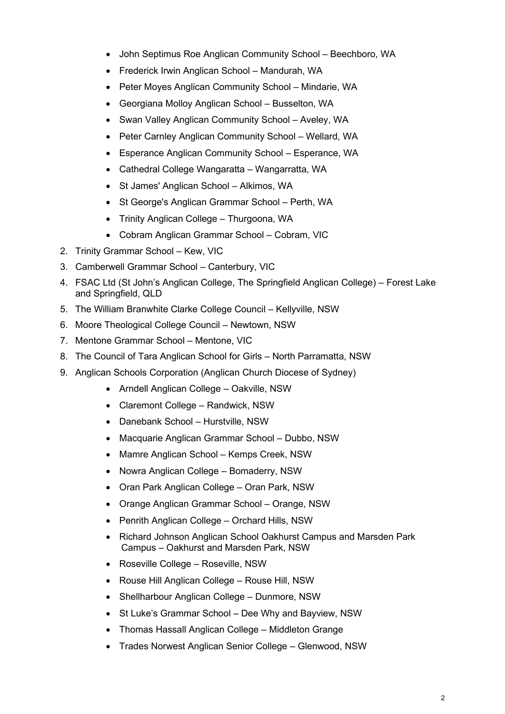- John Septimus Roe Anglican Community School Beechboro, WA
- Frederick Irwin Anglican School Mandurah, WA
- Peter Moyes Anglican Community School Mindarie, WA
- Georgiana Molloy Anglican School Busselton, WA
- Swan Valley Anglican Community School Aveley, WA
- Peter Carnley Anglican Community School Wellard, WA
- Esperance Anglican Community School Esperance, WA
- Cathedral College Wangaratta Wangarratta, WA
- St James' Anglican School Alkimos, WA
- St George's Anglican Grammar School Perth, WA
- Trinity Anglican College Thurgoona, WA
- Cobram Anglican Grammar School Cobram, VIC
- 2. Trinity Grammar School Kew, VIC
- 3. Camberwell Grammar School Canterbury, VIC
- 4. FSAC Ltd (St John's Anglican College, The Springfield Anglican College) Forest Lake and Springfield, QLD
- 5. The William Branwhite Clarke College Council Kellyville, NSW
- 6. Moore Theological College Council Newtown, NSW
- 7. Mentone Grammar School Mentone, VIC
- 8. The Council of Tara Anglican School for Girls North Parramatta, NSW
- 9. Anglican Schools Corporation (Anglican Church Diocese of Sydney)
	- Arndell Anglican College Oakville, NSW
	- Claremont College Randwick, NSW
	- Danebank School Hurstville, NSW
	- Macquarie Anglican Grammar School Dubbo, NSW
	- Mamre Anglican School Kemps Creek, NSW
	- Nowra Anglican College Bomaderry, NSW
	- Oran Park Anglican College Oran Park, NSW
	- Orange Anglican Grammar School Orange, NSW
	- Penrith Anglican College Orchard Hills, NSW
	- Richard Johnson Anglican School Oakhurst Campus and Marsden Park Campus – Oakhurst and Marsden Park, NSW
	- Roseville College Roseville, NSW
	- Rouse Hill Anglican College Rouse Hill, NSW
	- Shellharbour Anglican College Dunmore, NSW
	- St Luke's Grammar School Dee Why and Bayview, NSW
	- Thomas Hassall Anglican College Middleton Grange
	- Trades Norwest Anglican Senior College Glenwood, NSW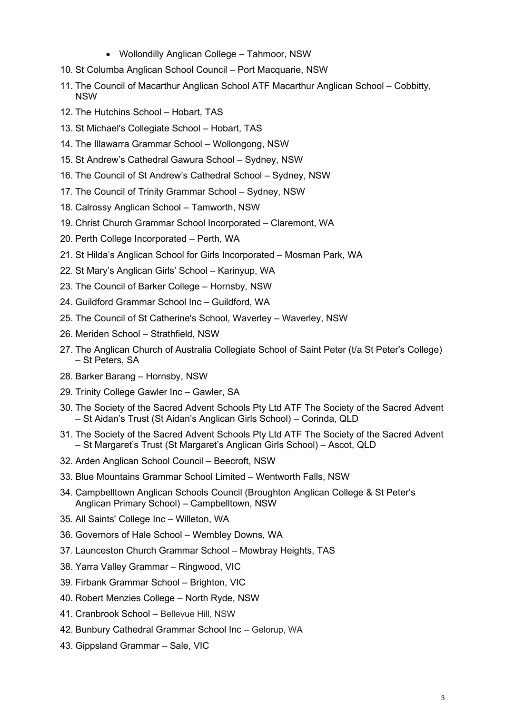- Wollondilly Anglican College Tahmoor, NSW
- 10. St Columba Anglican School Council Port Macquarie, NSW
- 11. The Council of Macarthur Anglican School ATF Macarthur Anglican School Cobbitty, NSW
- 12. The Hutchins School Hobart, TAS
- 13. St Michael's Collegiate School Hobart, TAS
- 14. The Illawarra Grammar School Wollongong, NSW
- 15. St Andrew's Cathedral Gawura School Sydney, NSW
- 16. The Council of St Andrew's Cathedral School Sydney, NSW
- 17. The Council of Trinity Grammar School Sydney, NSW
- 18. Calrossy Anglican School Tamworth, NSW
- 19. Christ Church Grammar School Incorporated Claremont, WA
- 20. Perth College Incorporated Perth, WA
- 21. St Hilda's Anglican School for Girls Incorporated Mosman Park, WA
- 22. St Mary's Anglican Girls' School Karinyup, WA
- 23. The Council of Barker College Hornsby, NSW
- 24. Guildford Grammar School Inc Guildford, WA
- 25. The Council of St Catherine's School, Waverley Waverley, NSW
- 26. Meriden School Strathfield, NSW
- 27. The Anglican Church of Australia Collegiate School of Saint Peter (t/a St Peter's College) – St Peters, SA
- 28. Barker Barang Hornsby, NSW
- 29. Trinity College Gawler Inc Gawler, SA
- 30. The Society of the Sacred Advent Schools Pty Ltd ATF The Society of the Sacred Advent – St Aidan's Trust (St Aidan's Anglican Girls School) – Corinda, QLD
- 31. The Society of the Sacred Advent Schools Pty Ltd ATF The Society of the Sacred Advent – St Margaret's Trust (St Margaret's Anglican Girls School) – Ascot, QLD
- 32. Arden Anglican School Council Beecroft, NSW
- 33. Blue Mountains Grammar School Limited Wentworth Falls, NSW
- 34. Campbelltown Anglican Schools Council (Broughton Anglican College & St Peter's Anglican Primary School) – Campbelltown, NSW
- 35. All Saints' College Inc Willeton, WA
- 36. Governors of Hale School Wembley Downs, WA
- 37. Launceston Church Grammar School Mowbray Heights, TAS
- 38. Yarra Valley Grammar Ringwood, VIC
- 39. Firbank Grammar School Brighton, VIC
- 40. Robert Menzies College North Ryde, NSW
- 41. Cranbrook School Bellevue Hill, NSW
- 42. Bunbury Cathedral Grammar School Inc Gelorup, WA
- 43. Gippsland Grammar Sale, VIC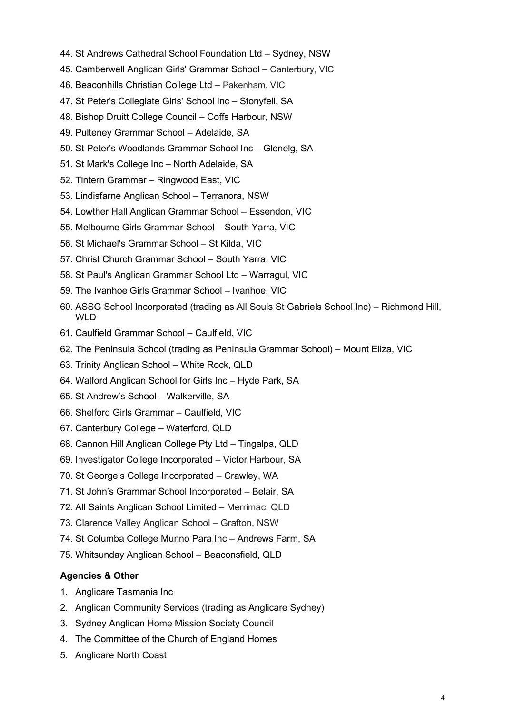- 44. St Andrews Cathedral School Foundation Ltd Sydney, NSW
- 45. Camberwell Anglican Girls' Grammar School Canterbury, VIC
- 46. Beaconhills Christian College Ltd Pakenham, VIC
- 47. St Peter's Collegiate Girls' School Inc Stonyfell, SA
- 48. Bishop Druitt College Council Coffs Harbour, NSW
- 49. Pulteney Grammar School Adelaide, SA
- 50. St Peter's Woodlands Grammar School Inc Glenelg, SA
- 51. St Mark's College Inc North Adelaide, SA
- 52. Tintern Grammar Ringwood East, VIC
- 53. Lindisfarne Anglican School Terranora, NSW
- 54. Lowther Hall Anglican Grammar School Essendon, VIC
- 55. Melbourne Girls Grammar School South Yarra, VIC
- 56. St Michael's Grammar School St Kilda, VIC
- 57. Christ Church Grammar School South Yarra, VIC
- 58. St Paul's Anglican Grammar School Ltd Warragul, VIC
- 59. The Ivanhoe Girls Grammar School Ivanhoe, VIC
- 60. ASSG School Incorporated (trading as All Souls St Gabriels School Inc) Richmond Hill, WLD
- 61. Caulfield Grammar School Caulfield, VIC
- 62. The Peninsula School (trading as Peninsula Grammar School) Mount Eliza, VIC
- 63. Trinity Anglican School White Rock, QLD
- 64. Walford Anglican School for Girls Inc Hyde Park, SA
- 65. St Andrew's School Walkerville, SA
- 66. Shelford Girls Grammar Caulfield, VIC
- 67. Canterbury College Waterford, QLD
- 68. Cannon Hill Anglican College Pty Ltd Tingalpa, QLD
- 69. Investigator College Incorporated Victor Harbour, SA
- 70. St George's College Incorporated Crawley, WA
- 71. St John's Grammar School Incorporated Belair, SA
- 72. All Saints Anglican School Limited Merrimac, QLD
- 73. Clarence Valley Anglican School Grafton, NSW
- 74. St Columba College Munno Para Inc Andrews Farm, SA
- 75. Whitsunday Anglican School Beaconsfield, QLD

# **Agencies & Other**

- 1. Anglicare Tasmania Inc
- 2. Anglican Community Services (trading as Anglicare Sydney)
- 3. Sydney Anglican Home Mission Society Council
- 4. The Committee of the Church of England Homes
- 5. Anglicare North Coast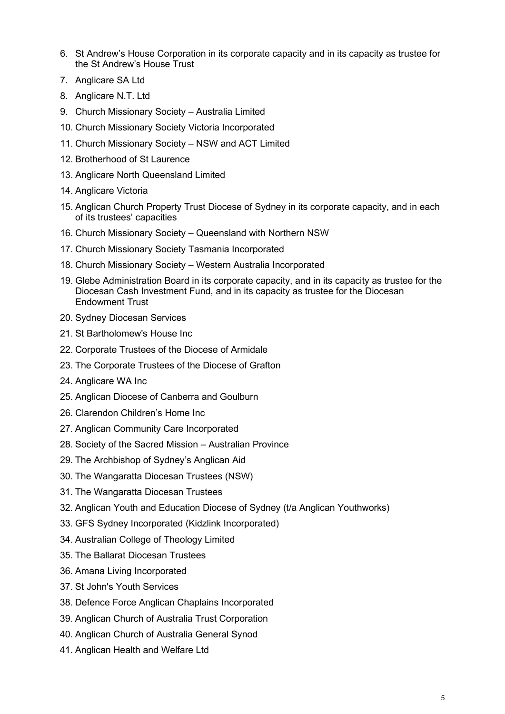- 6. St Andrew's House Corporation in its corporate capacity and in its capacity as trustee for the St Andrew's House Trust
- 7. Anglicare SA Ltd
- 8. Anglicare N.T. Ltd
- 9. Church Missionary Society Australia Limited
- 10. Church Missionary Society Victoria Incorporated
- 11. Church Missionary Society NSW and ACT Limited
- 12. Brotherhood of St Laurence
- 13. Anglicare North Queensland Limited
- 14. Anglicare Victoria
- 15. Anglican Church Property Trust Diocese of Sydney in its corporate capacity, and in each of its trustees' capacities
- 16. Church Missionary Society Queensland with Northern NSW
- 17. Church Missionary Society Tasmania Incorporated
- 18. Church Missionary Society Western Australia Incorporated
- 19. Glebe Administration Board in its corporate capacity, and in its capacity as trustee for the Diocesan Cash Investment Fund, and in its capacity as trustee for the Diocesan Endowment Trust
- 20. Sydney Diocesan Services
- 21. St Bartholomew's House Inc
- 22. Corporate Trustees of the Diocese of Armidale
- 23. The Corporate Trustees of the Diocese of Grafton
- 24. Anglicare WA Inc
- 25. Anglican Diocese of Canberra and Goulburn
- 26. Clarendon Children's Home Inc
- 27. Anglican Community Care Incorporated
- 28. Society of the Sacred Mission Australian Province
- 29. The Archbishop of Sydney's Anglican Aid
- 30. The Wangaratta Diocesan Trustees (NSW)
- 31. The Wangaratta Diocesan Trustees
- 32. Anglican Youth and Education Diocese of Sydney (t/a Anglican Youthworks)
- 33. GFS Sydney Incorporated (Kidzlink Incorporated)
- 34. Australian College of Theology Limited
- 35. The Ballarat Diocesan Trustees
- 36. Amana Living Incorporated
- 37. St John's Youth Services
- 38. Defence Force Anglican Chaplains Incorporated
- 39. Anglican Church of Australia Trust Corporation
- 40. Anglican Church of Australia General Synod
- 41. Anglican Health and Welfare Ltd